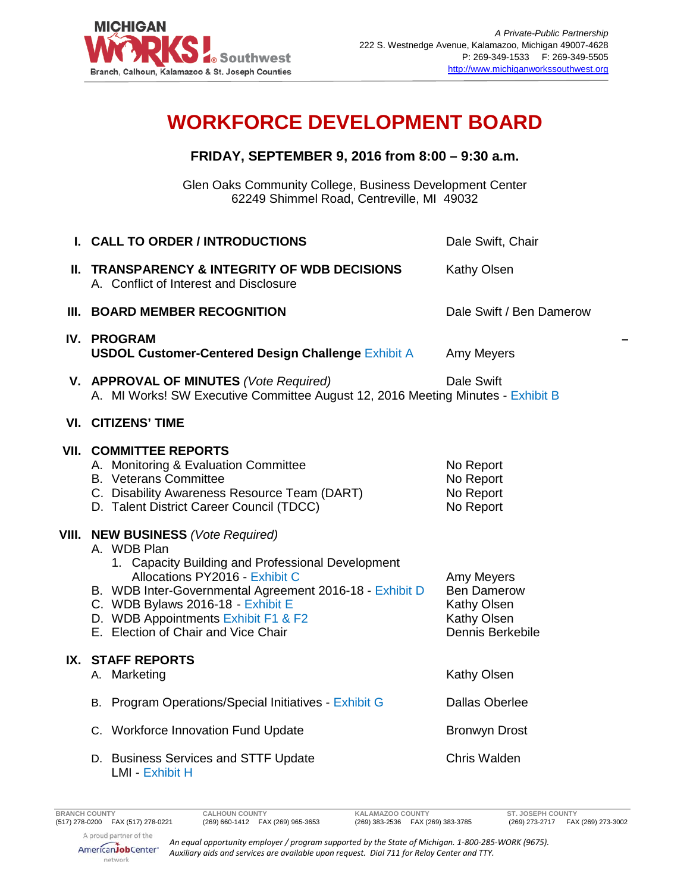

## **WORKFORCE DEVELOPMENT BOARD**

## **FRIDAY, SEPTEMBER 9, 2016 from 8:00 – 9:30 a.m.**

Glen Oaks Community College, Business Development Center 62249 Shimmel Road, Centreville, MI 49032

|       | I. CALL TO ORDER / INTRODUCTIONS                                                                                                                                                                                                                                                                                        | Dale Swift, Chair                                                                  |
|-------|-------------------------------------------------------------------------------------------------------------------------------------------------------------------------------------------------------------------------------------------------------------------------------------------------------------------------|------------------------------------------------------------------------------------|
| Ш.    | <b>TRANSPARENCY &amp; INTEGRITY OF WDB DECISIONS</b><br>A. Conflict of Interest and Disclosure                                                                                                                                                                                                                          | Kathy Olsen                                                                        |
|       | III. BOARD MEMBER RECOGNITION                                                                                                                                                                                                                                                                                           | Dale Swift / Ben Damerow                                                           |
|       | <b>IV. PROGRAM</b><br><b>USDOL Customer-Centered Design Challenge Exhibit A</b>                                                                                                                                                                                                                                         | Amy Meyers                                                                         |
|       | V. APPROVAL OF MINUTES (Vote Required)<br>A. MI Works! SW Executive Committee August 12, 2016 Meeting Minutes - Exhibit B                                                                                                                                                                                               | Dale Swift                                                                         |
|       | <b>VI. CITIZENS' TIME</b>                                                                                                                                                                                                                                                                                               |                                                                                    |
|       | <b>VII. COMMITTEE REPORTS</b><br>A. Monitoring & Evaluation Committee<br><b>B.</b> Veterans Committee<br>C. Disability Awareness Resource Team (DART)<br>D. Talent District Career Council (TDCC)                                                                                                                       | No Report<br>No Report<br>No Report<br>No Report                                   |
| VIII. | <b>NEW BUSINESS</b> (Vote Required)<br>A. WDB Plan<br>1. Capacity Building and Professional Development<br>Allocations PY2016 - Exhibit C<br>B. WDB Inter-Governmental Agreement 2016-18 - Exhibit D<br>C. WDB Bylaws 2016-18 - Exhibit E<br>D. WDB Appointments Exhibit F1 & F2<br>E. Election of Chair and Vice Chair | Amy Meyers<br><b>Ben Damerow</b><br>Kathy Olsen<br>Kathy Olsen<br>Dennis Berkebile |
|       | IX. STAFF REPORTS<br>A. Marketing                                                                                                                                                                                                                                                                                       | Kathy Olsen                                                                        |
|       | B. Program Operations/Special Initiatives - Exhibit G                                                                                                                                                                                                                                                                   | <b>Dallas Oberlee</b>                                                              |
|       | C. Workforce Innovation Fund Update                                                                                                                                                                                                                                                                                     | <b>Bronwyn Drost</b>                                                               |
|       | D. Business Services and STTF Update<br>LMI - Exhibit H                                                                                                                                                                                                                                                                 | Chris Walden                                                                       |
|       |                                                                                                                                                                                                                                                                                                                         |                                                                                    |

(269) 383-2536 FAX (269) 383-3785

*An equal opportunity employer / program supported by the State of Michigan. 1-800-285-WORK (9675).*